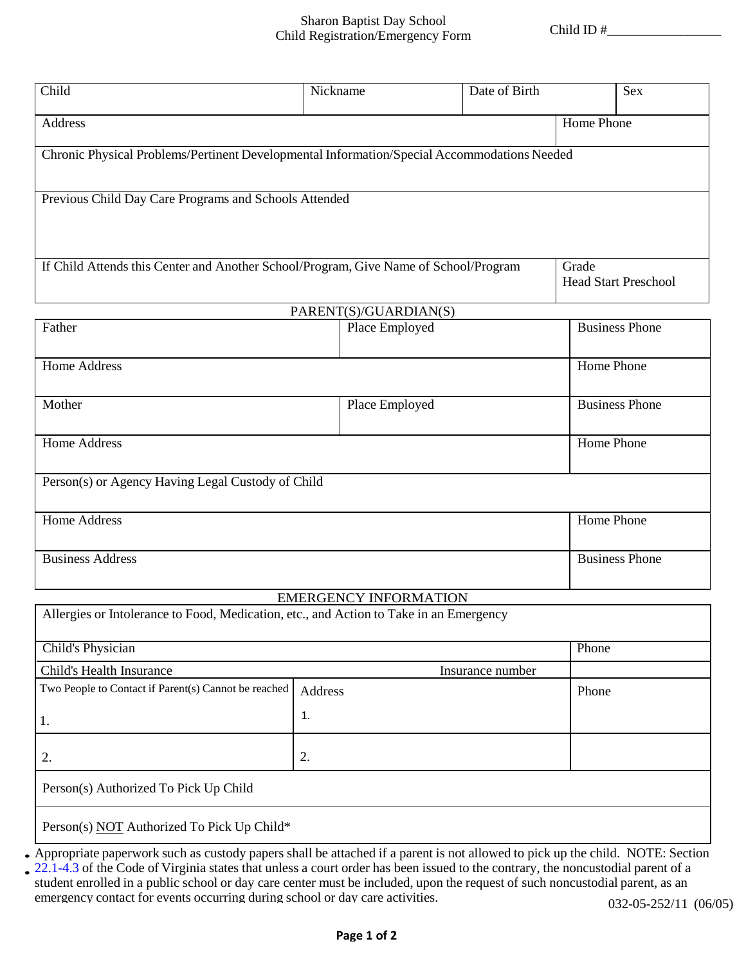## Sharon Baptist Day School Child Registration/Emergency Form

Child ID #\_\_\_\_\_\_\_\_\_\_\_\_\_\_\_\_\_

| Child                                                                                       | Nickname |                              | Date of Birth |                       | <b>Sex</b>                           |  |  |
|---------------------------------------------------------------------------------------------|----------|------------------------------|---------------|-----------------------|--------------------------------------|--|--|
| <b>Address</b>                                                                              |          |                              |               | Home Phone            |                                      |  |  |
| Chronic Physical Problems/Pertinent Developmental Information/Special Accommodations Needed |          |                              |               |                       |                                      |  |  |
| Previous Child Day Care Programs and Schools Attended                                       |          |                              |               |                       |                                      |  |  |
| If Child Attends this Center and Another School/Program, Give Name of School/Program        |          |                              |               |                       | Grade<br><b>Head Start Preschool</b> |  |  |
| PARENT(S)/GUARDIAN(S)                                                                       |          |                              |               |                       |                                      |  |  |
| Father                                                                                      |          | Place Employed               |               | <b>Business Phone</b> |                                      |  |  |
| <b>Home Address</b>                                                                         |          |                              |               | Home Phone            |                                      |  |  |
| Mother                                                                                      |          | Place Employed               |               |                       | <b>Business Phone</b>                |  |  |
| <b>Home Address</b>                                                                         |          |                              |               |                       | Home Phone                           |  |  |
| Person(s) or Agency Having Legal Custody of Child                                           |          |                              |               |                       |                                      |  |  |
| <b>Home Address</b>                                                                         |          |                              |               |                       | Home Phone                           |  |  |
| <b>Business Address</b>                                                                     |          |                              |               |                       | <b>Business Phone</b>                |  |  |
|                                                                                             |          | <b>EMERGENCY INFORMATION</b> |               |                       |                                      |  |  |
| Allergies or Intolerance to Food, Medication, etc., and Action to Take in an Emergency      |          |                              |               |                       |                                      |  |  |
| <b>Child's Physician</b>                                                                    |          |                              |               | Phone                 |                                      |  |  |
| Child's Health Insurance<br>Insurance number                                                |          |                              |               |                       |                                      |  |  |
| Two People to Contact if Parent(s) Cannot be reached                                        | Address  |                              |               | Phone                 |                                      |  |  |
| 1.                                                                                          | 1.       |                              |               |                       |                                      |  |  |
| 2.                                                                                          | 2.       |                              |               |                       |                                      |  |  |

Person(s) Authorized To Pick Up Child

Person(s) NOT Authorized To Pick Up Child\*

• Appropriate paperwork such as custody papers shall be attached if a parent is not allowed to pick up the child. NOTE: Section

. 22.1-4.3 of the Code of Virginia states that unless a court order has been issued to the contrary, the noncustodial parent of a student enrolled in a public school or day care center must be included, upon the request of such noncustodial parent, as an emergency contact for events occurring during school or day care activities. 032-05-252/11 (06/05)